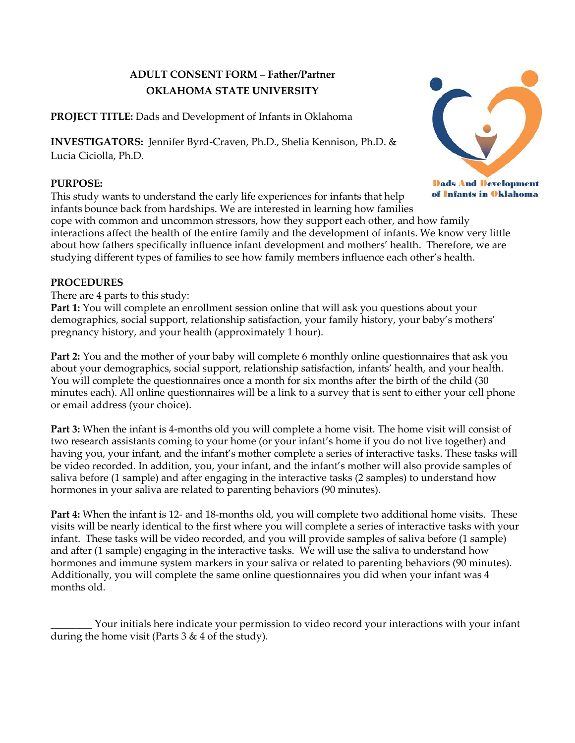# **ADULT CONSENT FORM – Father/Partner OKLAHOMA STATE UNIVERSITY**

**PROJECT TITLE:** Dads and Development of Infants in Oklahoma

**INVESTIGATORS:** Jennifer Byrd-Craven, Ph.D., Shelia Kennison, Ph.D. & Lucia Ciciolla, Ph.D.

# **PURPOSE:**

This study wants to understand the early life experiences for infants that help infants bounce back from hardships. We are interested in learning how families

cope with common and uncommon stressors, how they support each other, and how family interactions affect the health of the entire family and the development of infants. We know very little about how fathers specifically influence infant development and mothers' health. Therefore, we are studying different types of families to see how family members influence each other's health.

# **PROCEDURES**

There are 4 parts to this study:

**Part 1:** You will complete an enrollment session online that will ask you questions about your demographics, social support, relationship satisfaction, your family history, your baby's mothers' pregnancy history, and your health (approximately 1 hour).

**Part 2:** You and the mother of your baby will complete 6 monthly online questionnaires that ask you about your demographics, social support, relationship satisfaction, infants' health, and your health. You will complete the questionnaires once a month for six months after the birth of the child (30 minutes each). All online questionnaires will be a link to a survey that is sent to either your cell phone or email address (your choice).

**Part 3:** When the infant is 4-months old you will complete a home visit. The home visit will consist of two research assistants coming to your home (or your infant's home if you do not live together) and having you, your infant, and the infant's mother complete a series of interactive tasks. These tasks will be video recorded. In addition, you, your infant, and the infant's mother will also provide samples of saliva before (1 sample) and after engaging in the interactive tasks (2 samples) to understand how hormones in your saliva are related to parenting behaviors (90 minutes).

**Part 4:** When the infant is 12- and 18-months old, you will complete two additional home visits. These visits will be nearly identical to the first where you will complete a series of interactive tasks with your infant. These tasks will be video recorded, and you will provide samples of saliva before (1 sample) and after (1 sample) engaging in the interactive tasks. We will use the saliva to understand how hormones and immune system markers in your saliva or related to parenting behaviors (90 minutes). Additionally, you will complete the same online questionnaires you did when your infant was 4 months old.

Your initials here indicate your permission to video record your interactions with your infant during the home visit (Parts  $3 \& 4$  of the study).



of Infants in Oklahoma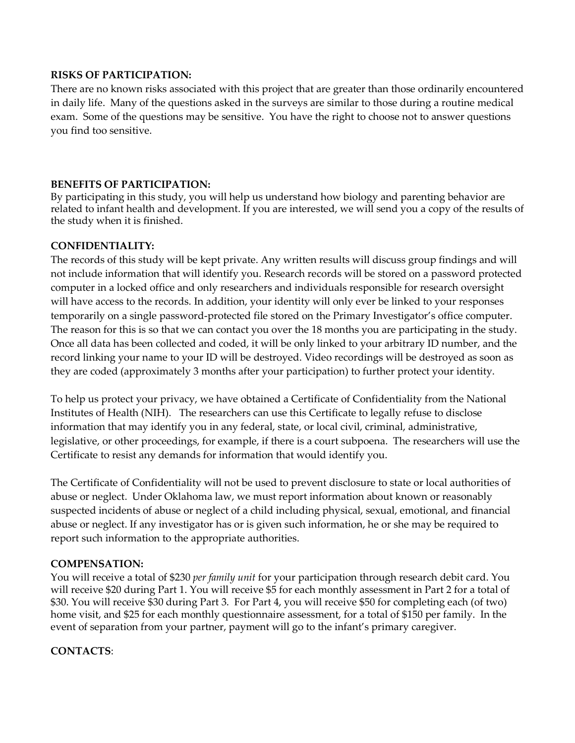## **RISKS OF PARTICIPATION:**

There are no known risks associated with this project that are greater than those ordinarily encountered in daily life. Many of the questions asked in the surveys are similar to those during a routine medical exam. Some of the questions may be sensitive. You have the right to choose not to answer questions you find too sensitive.

## **BENEFITS OF PARTICIPATION:**

By participating in this study, you will help us understand how biology and parenting behavior are related to infant health and development. If you are interested, we will send you a copy of the results of the study when it is finished.

## **CONFIDENTIALITY:**

The records of this study will be kept private. Any written results will discuss group findings and will not include information that will identify you. Research records will be stored on a password protected computer in a locked office and only researchers and individuals responsible for research oversight will have access to the records. In addition, your identity will only ever be linked to your responses temporarily on a single password-protected file stored on the Primary Investigator's office computer. The reason for this is so that we can contact you over the 18 months you are participating in the study. Once all data has been collected and coded, it will be only linked to your arbitrary ID number, and the record linking your name to your ID will be destroyed. Video recordings will be destroyed as soon as they are coded (approximately 3 months after your participation) to further protect your identity.

To help us protect your privacy, we have obtained a Certificate of Confidentiality from the National Institutes of Health (NIH). The researchers can use this Certificate to legally refuse to disclose information that may identify you in any federal, state, or local civil, criminal, administrative, legislative, or other proceedings, for example, if there is a court subpoena. The researchers will use the Certificate to resist any demands for information that would identify you.

The Certificate of Confidentiality will not be used to prevent disclosure to state or local authorities of abuse or neglect. Under Oklahoma law, we must report information about known or reasonably suspected incidents of abuse or neglect of a child including physical, sexual, emotional, and financial abuse or neglect. If any investigator has or is given such information, he or she may be required to report such information to the appropriate authorities.

## **COMPENSATION:**

You will receive a total of \$230 *per family unit* for your participation through research debit card. You will receive \$20 during Part 1. You will receive \$5 for each monthly assessment in Part 2 for a total of \$30. You will receive \$30 during Part 3. For Part 4, you will receive \$50 for completing each (of two) home visit, and \$25 for each monthly questionnaire assessment, for a total of \$150 per family. In the event of separation from your partner, payment will go to the infant's primary caregiver.

## **CONTACTS**: